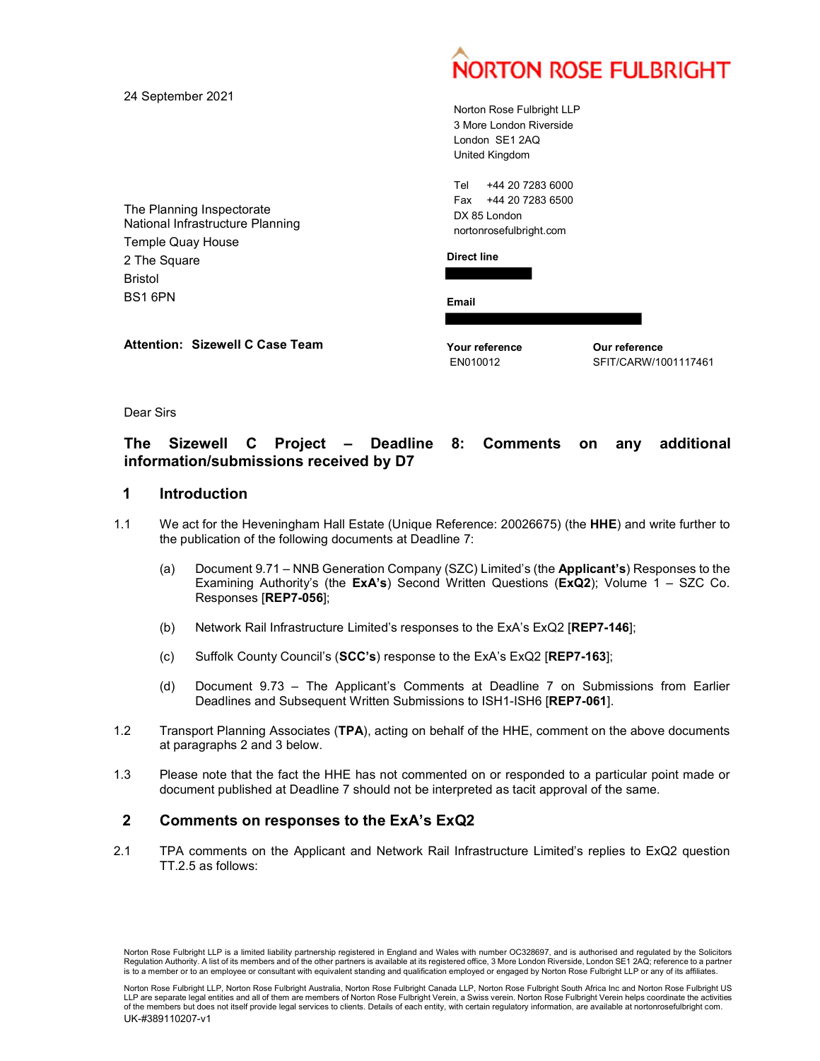|                                                                                           |                                                                                               | <b>NORTON ROSE FULBRIGHT</b> |
|-------------------------------------------------------------------------------------------|-----------------------------------------------------------------------------------------------|------------------------------|
| 24 September 2021                                                                         | Norton Rose Fulbright LLP<br>3 More London Riverside<br>London SE1 2AQ<br>United Kingdom      |                              |
| The Planning Inspectorate<br>National Infrastructure Planning<br><b>Temple Quay House</b> | +44 20 7283 6000<br>Tel<br>+44 20 7283 6500<br>Fax<br>DX 85 London<br>nortonrosefulbright.com |                              |
| 2 The Square<br><b>Bristol</b><br>BS16PN                                                  | <b>Direct line</b>                                                                            |                              |
| <b>Attention: Sizewell C Case Team</b>                                                    | Email<br>Your reference                                                                       | Our reference                |
|                                                                                           | EN010012                                                                                      | SFIT/CARW/1001117461         |

Dear Sirs

# The Sizewell C Project – Deadline 8: Comments on any additional information/submissions received by D7

## 1 Introduction

- 1.1 We act for the Heveningham Hall Estate (Unique Reference: 20026675) (the HHE) and write further to the publication of the following documents at Deadline 7:
	- (a) Document 9.71 NNB Generation Company (SZC) Limited's (the Applicant's) Responses to the Examining Authority's (the  $ExA's$ ) Second Written Questions ( $ExQ2$ ); Volume 1 – SZC Co. Responses [REP7-056];
	- (b) Network Rail Infrastructure Limited's responses to the ExA's ExQ2 [REP7-146];
	- (c) Suffolk County Council's (SCC's) response to the ExA's ExQ2 [REP7-163];
	- (d) Document 9.73 The Applicant's Comments at Deadline 7 on Submissions from Earlier Deadlines and Subsequent Written Submissions to ISH1-ISH6 [REP7-061].
- 1.2 Transport Planning Associates (TPA), acting on behalf of the HHE, comment on the above documents at paragraphs 2 and 3 below.
- 1.3 Please note that the fact the HHE has not commented on or responded to a particular point made or document published at Deadline 7 should not be interpreted as tacit approval of the same.

### 2 Comments on responses to the ExA's ExQ2

2.1 TPA comments on the Applicant and Network Rail Infrastructure Limited's replies to ExQ2 question TT.2.5 as follows:

Norton Rose Fulbright LLP is a limited liability partnership registered in England and Wales with number OC328697, and is authorised and regulated by the Solicitors Regulation Authority. A list of its members and of the other partners is available at its registered office, 3 More London Riverside, London SE1 2AQ; reference to a partner is to a member or to an employee or consultant with equivalent standing and qualification employed or engaged by Norton Rose Fulbright LLP or any of its affiliates.

Norton Rose Fulbright LLP, Norton Rose Fulbright Australia, Norton Rose Fulbright Canada LLP, Norton Rose Fulbright South Africa Inc and Norton Rose Fulbright US LLP are separate legal entities and all of them are members of Norton Rose Fulbright Verein, a Swiss verein. Norton Rose Fulbright Verein helps coordinate the activities of the members but does not itself provide legal ser (c) Sulfrolk Country Councils (SCC's) response to the EXA's EXA22 [REPT-163];<br>
(d) Document 9.73 - The Applicant's Comments at Deadlines 7 on Submissions form Earlier<br>
Deadlines and Subsequent Written Submissions to ISH1-UK-#389110207-v1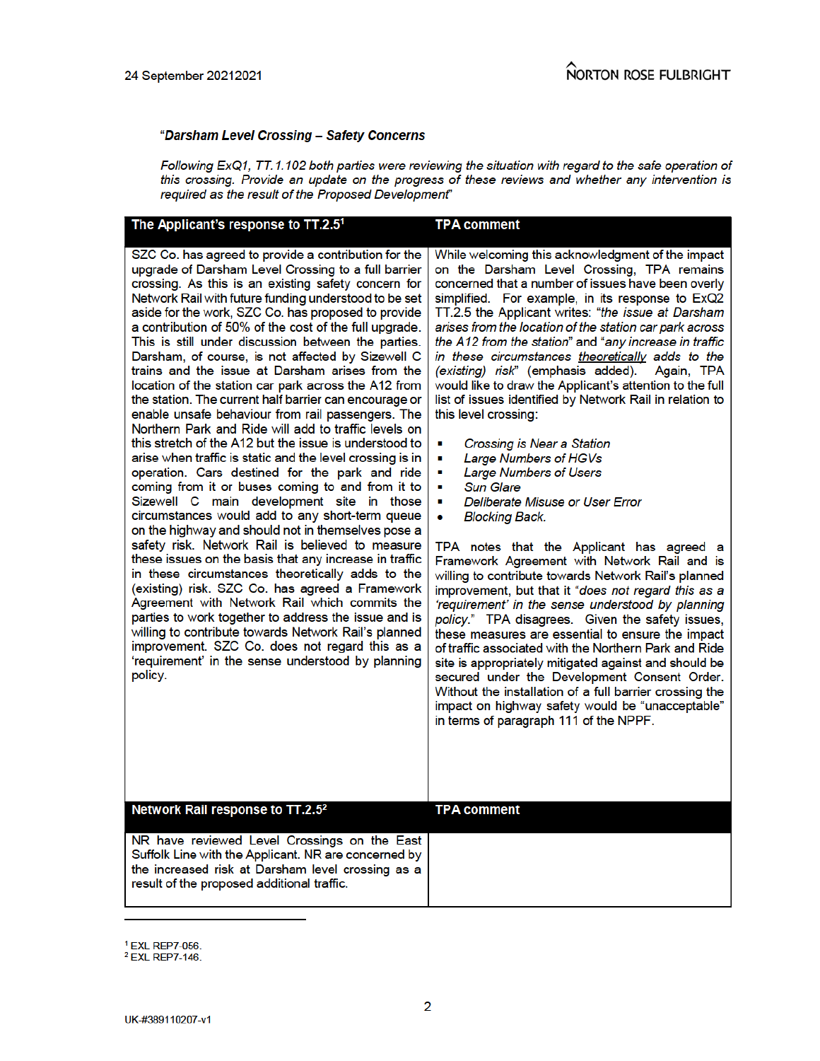#### "Darsham Level Crossing - Safety Concerns

Following ExQ1, TT.1.102 both parties were reviewing the situation with regard to the safe operation of this crossing. Provide an update on the progress of these reviews and whether any intervention is required as the result of the Proposed Development"

| The Applicant's response to TT.2.51                                                                                                                                                                                                                                                                                                                                                                                                                                                                                                                                                                                                                                                                                                                                                                                                                                                                                                                                                                                                                                                                                                                                                                                                                                                                                                                                                                                                                                                                                                                                                                                                                                       | <b>TPA comment</b>                                                                                                                                                                                                                                                                                                                                                                                                                                                                                                                                                                                                                                                                                                                                                                                                                                                                                                                                                                                                                                                                                                                                                                                                                                                                                                                                                                                                                                                                                                                                                |
|---------------------------------------------------------------------------------------------------------------------------------------------------------------------------------------------------------------------------------------------------------------------------------------------------------------------------------------------------------------------------------------------------------------------------------------------------------------------------------------------------------------------------------------------------------------------------------------------------------------------------------------------------------------------------------------------------------------------------------------------------------------------------------------------------------------------------------------------------------------------------------------------------------------------------------------------------------------------------------------------------------------------------------------------------------------------------------------------------------------------------------------------------------------------------------------------------------------------------------------------------------------------------------------------------------------------------------------------------------------------------------------------------------------------------------------------------------------------------------------------------------------------------------------------------------------------------------------------------------------------------------------------------------------------------|-------------------------------------------------------------------------------------------------------------------------------------------------------------------------------------------------------------------------------------------------------------------------------------------------------------------------------------------------------------------------------------------------------------------------------------------------------------------------------------------------------------------------------------------------------------------------------------------------------------------------------------------------------------------------------------------------------------------------------------------------------------------------------------------------------------------------------------------------------------------------------------------------------------------------------------------------------------------------------------------------------------------------------------------------------------------------------------------------------------------------------------------------------------------------------------------------------------------------------------------------------------------------------------------------------------------------------------------------------------------------------------------------------------------------------------------------------------------------------------------------------------------------------------------------------------------|
| SZC Co. has agreed to provide a contribution for the<br>upgrade of Darsham Level Crossing to a full barrier<br>crossing. As this is an existing safety concern for<br>Network Rail with future funding understood to be set<br>aside for the work, SZC Co. has proposed to provide<br>a contribution of 50% of the cost of the full upgrade.<br>This is still under discussion between the parties.<br>Darsham, of course, is not affected by Sizewell C<br>trains and the issue at Darsham arises from the<br>location of the station car park across the A12 from<br>the station. The current half barrier can encourage or<br>enable unsafe behaviour from rail passengers. The<br>Northern Park and Ride will add to traffic levels on<br>this stretch of the A12 but the issue is understood to<br>arise when traffic is static and the level crossing is in<br>operation. Cars destined for the park and ride<br>coming from it or buses coming to and from it to<br>Sizewell C main development site in those<br>circumstances would add to any short-term queue<br>on the highway and should not in themselves pose a<br>safety risk. Network Rail is believed to measure<br>these issues on the basis that any increase in traffic<br>in these circumstances theoretically adds to the<br>(existing) risk. SZC Co. has agreed a Framework<br>Agreement with Network Rail which commits the<br>parties to work together to address the issue and is<br>willing to contribute towards Network Rail's planned<br>improvement. SZC Co. does not regard this as a<br>'requirement' in the sense understood by planning<br>policy.<br>Network Rail response to TT.2.52 | While welcoming this acknowledgment of the impact<br>on the Darsham Level Crossing, TPA remains<br>concerned that a number of issues have been overly<br>simplified. For example, in its response to ExQ2<br>TT.2.5 the Applicant writes: "the issue at Darsham<br>arises from the location of the station car park across<br>the A12 from the station" and "any increase in traffic<br>in these circumstances theoretically adds to the<br>(existing) risk" (emphasis added).<br>Again, TPA<br>would like to draw the Applicant's attention to the full<br>list of issues identified by Network Rail in relation to<br>this level crossing:<br>Crossing is Near a Station<br>п<br>Large Numbers of HGVs<br>п<br><b>Large Numbers of Users</b><br>п<br><b>Sun Glare</b><br>п<br>Deliberate Misuse or User Error<br>٠<br><b>Blocking Back.</b><br>TPA notes that the Applicant has agreed a<br>Framework Agreement with Network Rail and is<br>willing to contribute towards Network Rail's planned<br>improvement, but that it "does not regard this as a<br>'requirement' in the sense understood by planning<br>policy." TPA disagrees. Given the safety issues,<br>these measures are essential to ensure the impact<br>of traffic associated with the Northern Park and Ride<br>site is appropriately mitigated against and should be<br>secured under the Development Consent Order.<br>Without the installation of a full barrier crossing the<br>impact on highway safety would be "unacceptable"<br>in terms of paragraph 111 of the NPPF.<br>TPA comment |
|                                                                                                                                                                                                                                                                                                                                                                                                                                                                                                                                                                                                                                                                                                                                                                                                                                                                                                                                                                                                                                                                                                                                                                                                                                                                                                                                                                                                                                                                                                                                                                                                                                                                           |                                                                                                                                                                                                                                                                                                                                                                                                                                                                                                                                                                                                                                                                                                                                                                                                                                                                                                                                                                                                                                                                                                                                                                                                                                                                                                                                                                                                                                                                                                                                                                   |
| NR have reviewed Level Crossings on the East<br>Suffolk Line with the Applicant. NR are concerned by<br>the increased risk at Darsham level crossing as a<br>result of the proposed additional traffic.                                                                                                                                                                                                                                                                                                                                                                                                                                                                                                                                                                                                                                                                                                                                                                                                                                                                                                                                                                                                                                                                                                                                                                                                                                                                                                                                                                                                                                                                   |                                                                                                                                                                                                                                                                                                                                                                                                                                                                                                                                                                                                                                                                                                                                                                                                                                                                                                                                                                                                                                                                                                                                                                                                                                                                                                                                                                                                                                                                                                                                                                   |
|                                                                                                                                                                                                                                                                                                                                                                                                                                                                                                                                                                                                                                                                                                                                                                                                                                                                                                                                                                                                                                                                                                                                                                                                                                                                                                                                                                                                                                                                                                                                                                                                                                                                           |                                                                                                                                                                                                                                                                                                                                                                                                                                                                                                                                                                                                                                                                                                                                                                                                                                                                                                                                                                                                                                                                                                                                                                                                                                                                                                                                                                                                                                                                                                                                                                   |

<sup>&</sup>lt;sup>1</sup> EXL REP7-056.

<sup>&</sup>lt;sup>2</sup> EXL REP7-146.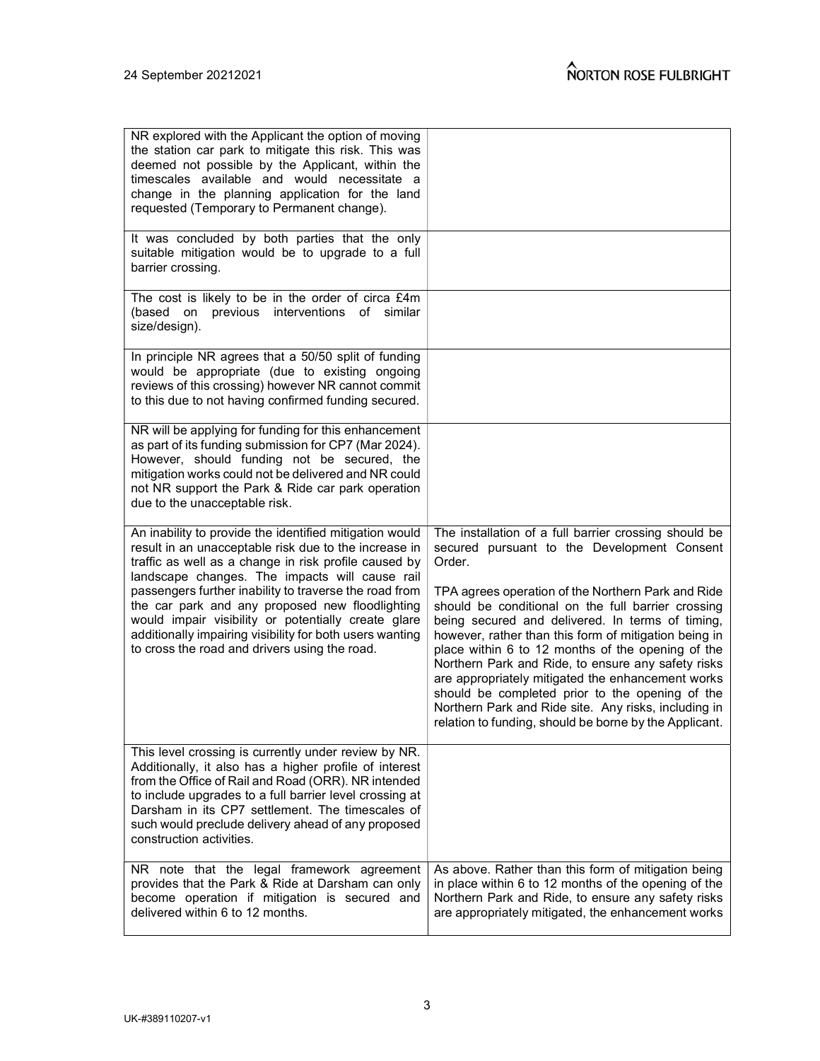| NR explored with the Applicant the option of moving<br>the station car park to mitigate this risk. This was<br>deemed not possible by the Applicant, within the<br>timescales available and would necessitate a<br>change in the planning application for the land<br>requested (Temporary to Permanent change).                                                                                                                                                                                             |                                                                                                                                                                                                                                                                                                                                                                                                                                                                                                                                                                                                                                                                              |
|--------------------------------------------------------------------------------------------------------------------------------------------------------------------------------------------------------------------------------------------------------------------------------------------------------------------------------------------------------------------------------------------------------------------------------------------------------------------------------------------------------------|------------------------------------------------------------------------------------------------------------------------------------------------------------------------------------------------------------------------------------------------------------------------------------------------------------------------------------------------------------------------------------------------------------------------------------------------------------------------------------------------------------------------------------------------------------------------------------------------------------------------------------------------------------------------------|
| It was concluded by both parties that the only<br>suitable mitigation would be to upgrade to a full<br>barrier crossing.                                                                                                                                                                                                                                                                                                                                                                                     |                                                                                                                                                                                                                                                                                                                                                                                                                                                                                                                                                                                                                                                                              |
| The cost is likely to be in the order of circa £4m<br>(based on previous interventions of similar<br>size/design).                                                                                                                                                                                                                                                                                                                                                                                           |                                                                                                                                                                                                                                                                                                                                                                                                                                                                                                                                                                                                                                                                              |
| In principle NR agrees that a 50/50 split of funding<br>would be appropriate (due to existing ongoing<br>reviews of this crossing) however NR cannot commit<br>to this due to not having confirmed funding secured.                                                                                                                                                                                                                                                                                          |                                                                                                                                                                                                                                                                                                                                                                                                                                                                                                                                                                                                                                                                              |
| NR will be applying for funding for this enhancement<br>as part of its funding submission for CP7 (Mar 2024).<br>However, should funding not be secured, the<br>mitigation works could not be delivered and NR could<br>not NR support the Park & Ride car park operation<br>due to the unacceptable risk.                                                                                                                                                                                                   |                                                                                                                                                                                                                                                                                                                                                                                                                                                                                                                                                                                                                                                                              |
| An inability to provide the identified mitigation would<br>result in an unacceptable risk due to the increase in<br>traffic as well as a change in risk profile caused by<br>landscape changes. The impacts will cause rail<br>passengers further inability to traverse the road from<br>the car park and any proposed new floodlighting<br>would impair visibility or potentially create glare<br>additionally impairing visibility for both users wanting<br>to cross the road and drivers using the road. | The installation of a full barrier crossing should be<br>secured pursuant to the Development Consent<br>Order.<br>TPA agrees operation of the Northern Park and Ride<br>should be conditional on the full barrier crossing<br>being secured and delivered. In terms of timing,<br>however, rather than this form of mitigation being in<br>place within 6 to 12 months of the opening of the<br>Northern Park and Ride, to ensure any safety risks<br>are appropriately mitigated the enhancement works<br>should be completed prior to the opening of the<br>Northern Park and Ride site. Any risks, including in<br>relation to funding, should be borne by the Applicant. |
| This level crossing is currently under review by NR.<br>Additionally, it also has a higher profile of interest<br>from the Office of Rail and Road (ORR). NR intended<br>to include upgrades to a full barrier level crossing at<br>Darsham in its CP7 settlement. The timescales of<br>such would preclude delivery ahead of any proposed<br>construction activities.                                                                                                                                       |                                                                                                                                                                                                                                                                                                                                                                                                                                                                                                                                                                                                                                                                              |
| NR note that the legal framework agreement<br>provides that the Park & Ride at Darsham can only<br>become operation if mitigation is secured and<br>delivered within 6 to 12 months.                                                                                                                                                                                                                                                                                                                         | As above. Rather than this form of mitigation being<br>in place within 6 to 12 months of the opening of the<br>Northern Park and Ride, to ensure any safety risks<br>are appropriately mitigated, the enhancement works                                                                                                                                                                                                                                                                                                                                                                                                                                                      |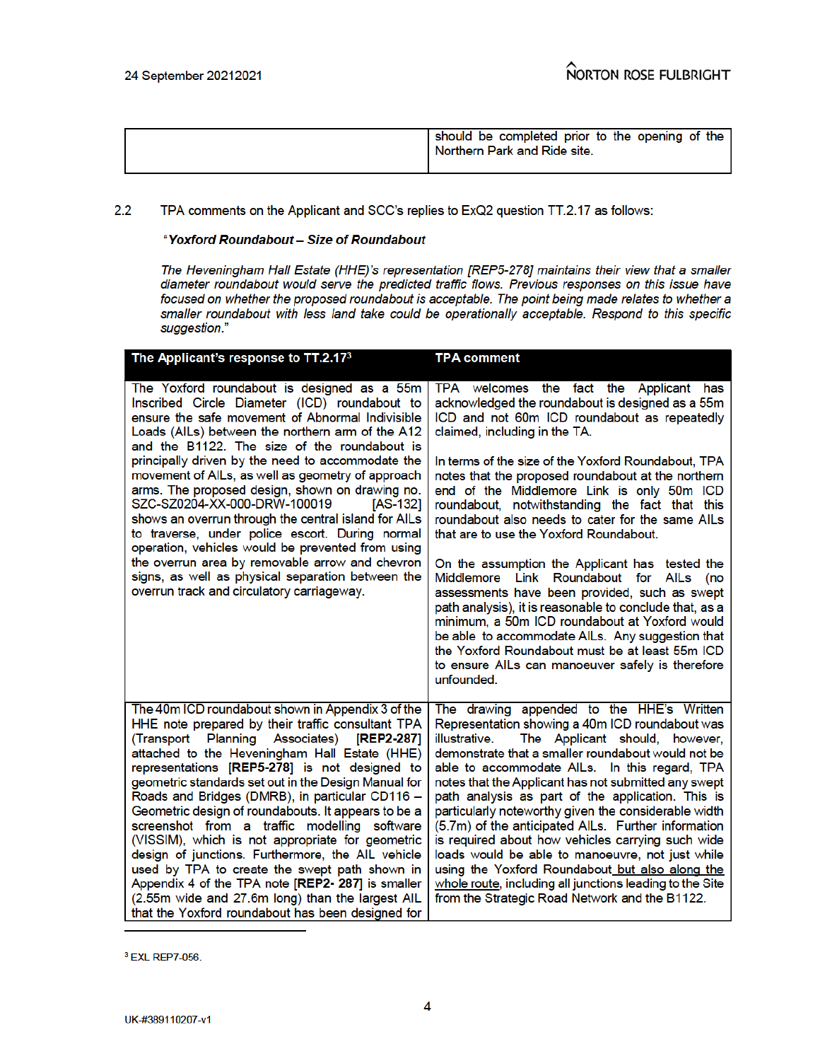|  | should be completed prior to the opening of the<br>! Northern Park and Ride site. |
|--|-----------------------------------------------------------------------------------|
|--|-----------------------------------------------------------------------------------|

#### $2.2$ TPA comments on the Applicant and SCC's replies to ExQ2 question TT.2.17 as follows:

#### "Yoxford Roundabout - Size of Roundabout

The Heveningham Hall Estate (HHE)'s representation [REP5-278] maintains their view that a smaller diameter roundabout would serve the predicted traffic flows. Previous responses on this issue have focused on whether the proposed roundabout is acceptable. The point being made relates to whether a smaller roundabout with less land take could be operationally acceptable. Respond to this specific suggestion."

| The Applicant's response to TT.2.17 $^{\rm 3}$                                                                                                                                                                                                                                                                                                                                                                                                                                                                                                                                                                                                                                                                                                                                                   | TPA comment                                                                                                                                                                                                                                                                                                                                                                                                                                                                                                                                                                                                                                                                                                                                                                                                                                                                                                                  |
|--------------------------------------------------------------------------------------------------------------------------------------------------------------------------------------------------------------------------------------------------------------------------------------------------------------------------------------------------------------------------------------------------------------------------------------------------------------------------------------------------------------------------------------------------------------------------------------------------------------------------------------------------------------------------------------------------------------------------------------------------------------------------------------------------|------------------------------------------------------------------------------------------------------------------------------------------------------------------------------------------------------------------------------------------------------------------------------------------------------------------------------------------------------------------------------------------------------------------------------------------------------------------------------------------------------------------------------------------------------------------------------------------------------------------------------------------------------------------------------------------------------------------------------------------------------------------------------------------------------------------------------------------------------------------------------------------------------------------------------|
| The Yoxford roundabout is designed as a 55m<br>Inscribed Circle Diameter (ICD) roundabout to<br>ensure the safe movement of Abnormal Indivisible<br>Loads (AILs) between the northern arm of the A12<br>and the B1122. The size of the roundabout is<br>principally driven by the need to accommodate the<br>movement of AILs, as well as geometry of approach<br>arms. The proposed design, shown on drawing no.<br>SZC-SZ0204-XX-000-DRW-100019<br>[AS-132]<br>shows an overrun through the central island for AILs<br>to traverse, under police escort. During normal<br>operation, vehicles would be prevented from using<br>the overrun area by removable arrow and chevron<br>signs, as well as physical separation between the<br>overrun track and circulatory carriageway.              | TPA welcomes the fact the Applicant has<br>acknowledged the roundabout is designed as a 55m<br>ICD and not 60m ICD roundabout as repeatedly<br>claimed, including in the TA.<br>In terms of the size of the Yoxford Roundabout, TPA<br>notes that the proposed roundabout at the northern<br>end of the Middlemore Link is only 50m ICD<br>roundabout, notwithstanding the fact that this<br>roundabout also needs to cater for the same AILs<br>that are to use the Yoxford Roundabout.<br>On the assumption the Applicant has tested the<br>Middlemore Link Roundabout for AILs (no<br>assessments have been provided, such as swept<br>path analysis), it is reasonable to conclude that, as a<br>minimum, a 50m ICD roundabout at Yoxford would<br>be able to accommodate AILs. Any suggestion that<br>the Yoxford Roundabout must be at least 55m ICD<br>to ensure AILs can manoeuver safely is therefore<br>unfounded. |
| The 40m ICD roundabout shown in Appendix 3 of the<br>HHE note prepared by their traffic consultant TPA<br>(Transport Planning Associates) [REP2-287]<br>attached to the Heveningham Hall Estate (HHE)<br>representations [REP5-278] is not designed to<br>geometric standards set out in the Design Manual for<br>Roads and Bridges (DMRB), in particular CD116 -<br>Geometric design of roundabouts. It appears to be a<br>screenshot from a traffic modelling software<br>(VISSIM), which is not appropriate for geometric<br>design of junctions. Furthermore, the AIL vehicle<br>used by TPA to create the swept path shown in<br>Appendix 4 of the TPA note [REP2- 287] is smaller<br>(2.55m wide and 27.6m long) than the largest AIL<br>that the Yoxford roundabout has been designed for | The drawing appended to the HHE's Written<br>Representation showing a 40m ICD roundabout was<br>illustrative.<br>The Applicant should, however,<br>demonstrate that a smaller roundabout would not be<br>able to accommodate AILs. In this regard, TPA<br>notes that the Applicant has not submitted any swept<br>path analysis as part of the application. This is<br>particularly noteworthy given the considerable width<br>(5.7m) of the anticipated AILs. Further information<br>is required about how vehicles carrying such wide<br>loads would be able to manoeuvre, not just while<br>using the Yoxford Roundabout but also along the<br>whole route, including all junctions leading to the Site<br>from the Strategic Road Network and the B1122.                                                                                                                                                                 |

<sup>3</sup> EXL REP7-056.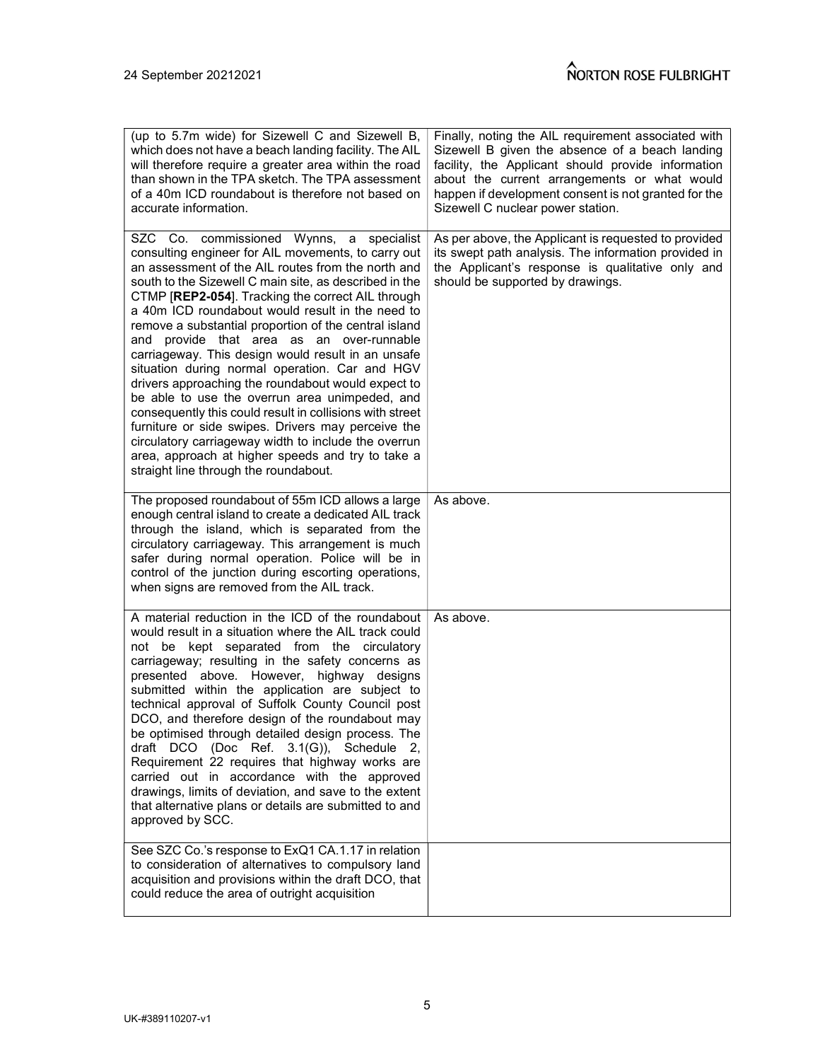| (up to 5.7m wide) for Sizewell C and Sizewell B,<br>which does not have a beach landing facility. The AIL<br>will therefore require a greater area within the road<br>than shown in the TPA sketch. The TPA assessment<br>of a 40m ICD roundabout is therefore not based on<br>accurate information.                                                                                                                                                                                                                                                                                                                                                                                                                                                                                                                                                                                                                   | Finally, noting the AIL requirement associated with<br>Sizewell B given the absence of a beach landing<br>facility, the Applicant should provide information<br>about the current arrangements or what would<br>happen if development consent is not granted for the<br>Sizewell C nuclear power station. |  |
|------------------------------------------------------------------------------------------------------------------------------------------------------------------------------------------------------------------------------------------------------------------------------------------------------------------------------------------------------------------------------------------------------------------------------------------------------------------------------------------------------------------------------------------------------------------------------------------------------------------------------------------------------------------------------------------------------------------------------------------------------------------------------------------------------------------------------------------------------------------------------------------------------------------------|-----------------------------------------------------------------------------------------------------------------------------------------------------------------------------------------------------------------------------------------------------------------------------------------------------------|--|
| SZC Co. commissioned Wynns, a specialist<br>consulting engineer for AIL movements, to carry out<br>an assessment of the AIL routes from the north and<br>south to the Sizewell C main site, as described in the<br>CTMP [REP2-054]. Tracking the correct AIL through<br>a 40m ICD roundabout would result in the need to<br>remove a substantial proportion of the central island<br>and provide that area as an over-runnable<br>carriageway. This design would result in an unsafe<br>situation during normal operation. Car and HGV<br>drivers approaching the roundabout would expect to<br>be able to use the overrun area unimpeded, and<br>consequently this could result in collisions with street<br>furniture or side swipes. Drivers may perceive the<br>circulatory carriageway width to include the overrun<br>area, approach at higher speeds and try to take a<br>straight line through the roundabout. | As per above, the Applicant is requested to provided<br>its swept path analysis. The information provided in<br>the Applicant's response is qualitative only and<br>should be supported by drawings.                                                                                                      |  |
| The proposed roundabout of 55m ICD allows a large<br>enough central island to create a dedicated AIL track<br>through the island, which is separated from the<br>circulatory carriageway. This arrangement is much<br>safer during normal operation. Police will be in<br>control of the junction during escorting operations,<br>when signs are removed from the AIL track.                                                                                                                                                                                                                                                                                                                                                                                                                                                                                                                                           | As above.                                                                                                                                                                                                                                                                                                 |  |
| A material reduction in the ICD of the roundabout<br>would result in a situation where the AIL track could<br>not be kept separated from the circulatory<br>carriageway; resulting in the safety concerns as<br>presented above. However, highway designs<br>submitted within the application are subject to<br>technical approval of Suffolk County Council post<br>DCO, and therefore design of the roundabout may<br>be optimised through detailed design process. The<br>draft DCO (Doc Ref. 3.1(G)), Schedule<br>- 2.<br>Requirement 22 requires that highway works are<br>carried out in accordance with the approved<br>drawings, limits of deviation, and save to the extent<br>that alternative plans or details are submitted to and<br>approved by SCC.                                                                                                                                                     | As above.                                                                                                                                                                                                                                                                                                 |  |
| See SZC Co.'s response to ExQ1 CA.1.17 in relation<br>to consideration of alternatives to compulsory land<br>acquisition and provisions within the draft DCO, that<br>could reduce the area of outright acquisition                                                                                                                                                                                                                                                                                                                                                                                                                                                                                                                                                                                                                                                                                                    |                                                                                                                                                                                                                                                                                                           |  |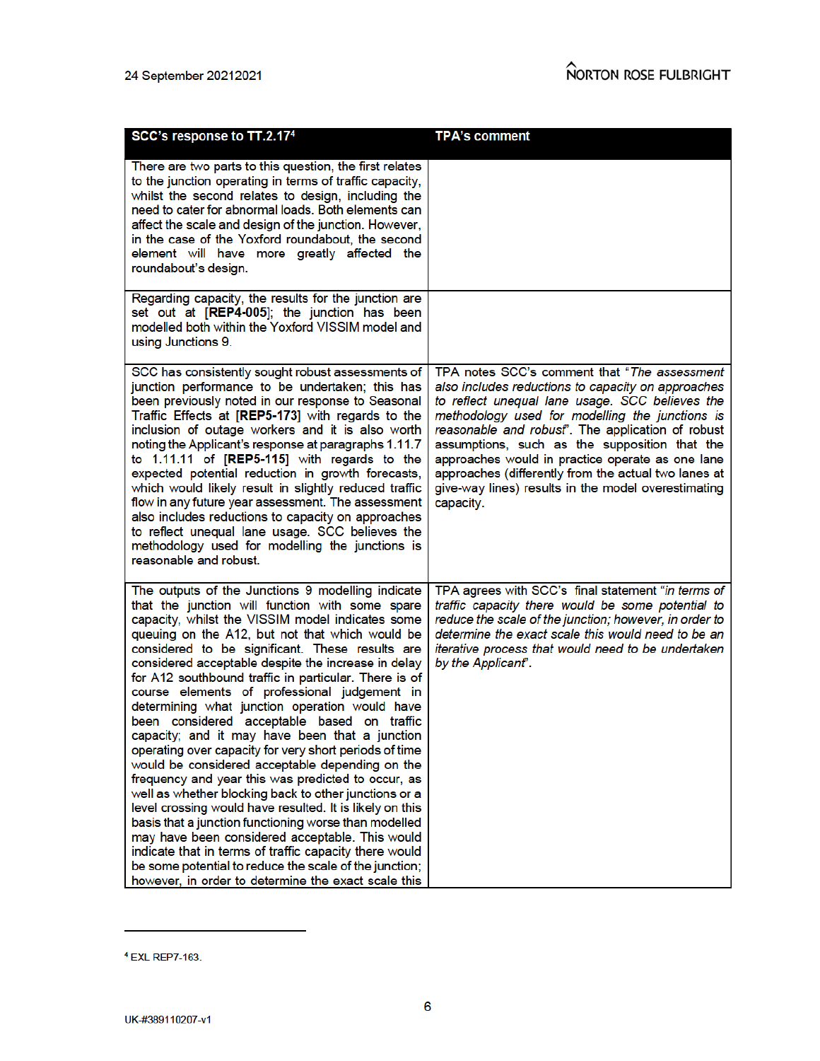|                                                                                                                                                                                                                                                                                                                                                                                                                                                                                                                                                                                                                                                                                                                                                                                                                                                                                                                                                                                                                                                                                                                                                                  | <b>TPA's comment</b>                                                                                                                                                                                                                                                                                                                                                                                                                                                                            |
|------------------------------------------------------------------------------------------------------------------------------------------------------------------------------------------------------------------------------------------------------------------------------------------------------------------------------------------------------------------------------------------------------------------------------------------------------------------------------------------------------------------------------------------------------------------------------------------------------------------------------------------------------------------------------------------------------------------------------------------------------------------------------------------------------------------------------------------------------------------------------------------------------------------------------------------------------------------------------------------------------------------------------------------------------------------------------------------------------------------------------------------------------------------|-------------------------------------------------------------------------------------------------------------------------------------------------------------------------------------------------------------------------------------------------------------------------------------------------------------------------------------------------------------------------------------------------------------------------------------------------------------------------------------------------|
| SCC's response to TT.2.17 <sup>4</sup>                                                                                                                                                                                                                                                                                                                                                                                                                                                                                                                                                                                                                                                                                                                                                                                                                                                                                                                                                                                                                                                                                                                           |                                                                                                                                                                                                                                                                                                                                                                                                                                                                                                 |
| There are two parts to this question, the first relates<br>to the junction operating in terms of traffic capacity,<br>whilst the second relates to design, including the<br>need to cater for abnormal loads. Both elements can<br>affect the scale and design of the junction. However,<br>in the case of the Yoxford roundabout, the second<br>element will have more greatly affected the<br>roundabout's design.                                                                                                                                                                                                                                                                                                                                                                                                                                                                                                                                                                                                                                                                                                                                             |                                                                                                                                                                                                                                                                                                                                                                                                                                                                                                 |
| Regarding capacity, the results for the junction are<br>set out at [REP4-005]; the junction has been<br>modelled both within the Yoxford VISSIM model and<br>using Junctions 9.                                                                                                                                                                                                                                                                                                                                                                                                                                                                                                                                                                                                                                                                                                                                                                                                                                                                                                                                                                                  |                                                                                                                                                                                                                                                                                                                                                                                                                                                                                                 |
| SCC has consistently sought robust assessments of<br>junction performance to be undertaken; this has<br>been previously noted in our response to Seasonal<br>Traffic Effects at [REP5-173] with regards to the<br>inclusion of outage workers and it is also worth<br>noting the Applicant's response at paragraphs 1.11.7<br>to 1.11.11 of [REP5-115] with regards to the<br>expected potential reduction in growth forecasts,<br>which would likely result in slightly reduced traffic<br>flow in any future year assessment. The assessment<br>also includes reductions to capacity on approaches<br>to reflect unequal lane usage. SCC believes the<br>methodology used for modelling the junctions is<br>reasonable and robust.                                                                                                                                                                                                                                                                                                                                                                                                                             | TPA notes SCC's comment that "The assessment"<br>also includes reductions to capacity on approaches<br>to reflect unequal lane usage. SCC believes the<br>methodology used for modelling the junctions is<br>reasonable and robust". The application of robust<br>assumptions, such as the supposition that the<br>approaches would in practice operate as one lane<br>approaches (differently from the actual two lanes at<br>give-way lines) results in the model overestimating<br>capacity. |
| The outputs of the Junctions 9 modelling indicate<br>that the junction will function with some spare<br>capacity, whilst the VISSIM model indicates some<br>queuing on the A12, but not that which would be<br>considered to be significant. These results are<br>considered acceptable despite the increase in delay<br>for A12 southbound traffic in particular. There is of<br>course elements of professional judgement in<br>determining what junction operation would have<br>been considered acceptable based on traffic<br>capacity; and it may have been that a junction<br>operating over capacity for very short periods of time<br>would be considered acceptable depending on the<br>frequency and year this was predicted to occur, as<br>well as whether blocking back to other junctions or a<br>level crossing would have resulted. It is likely on this<br>basis that a junction functioning worse than modelled<br>may have been considered acceptable. This would<br>indicate that in terms of traffic capacity there would<br>be some potential to reduce the scale of the junction;<br>however, in order to determine the exact scale this | TPA agrees with SCC's final statement "in terms of<br>traffic capacity there would be some potential to<br>reduce the scale of the junction; however, in order to<br>determine the exact scale this would need to be an<br>iterative process that would need to be undertaken<br>by the Applicant".                                                                                                                                                                                             |

<sup>&</sup>lt;sup>4</sup> EXL REP7-163.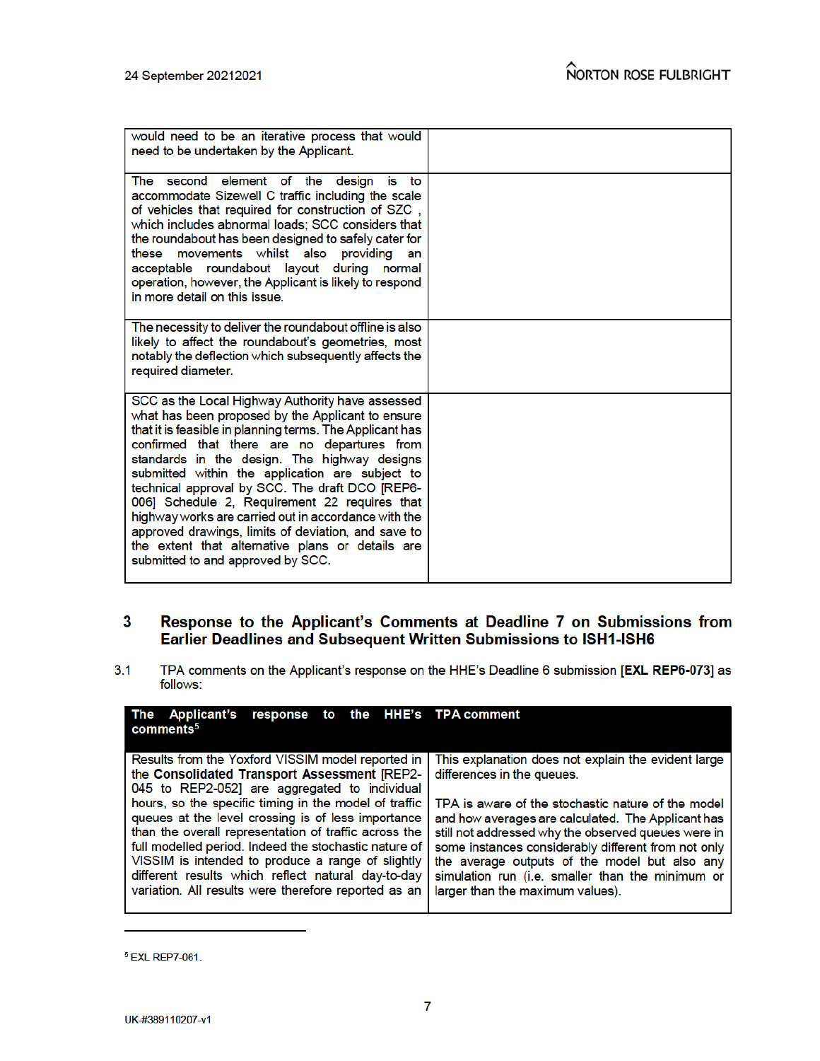| would need to be an iterative process that would<br>need to be undertaken by the Applicant.                                                                                                                                                                                                                                                                                                                                                                                                                                                                                                                                     |  |
|---------------------------------------------------------------------------------------------------------------------------------------------------------------------------------------------------------------------------------------------------------------------------------------------------------------------------------------------------------------------------------------------------------------------------------------------------------------------------------------------------------------------------------------------------------------------------------------------------------------------------------|--|
| The second element of the design<br>is<br>to<br>accommodate Sizewell C traffic including the scale<br>of vehicles that required for construction of SZC,<br>which includes abnormal loads; SCC considers that<br>the roundabout has been designed to safely cater for<br>these movements whilst also providing<br>an<br>acceptable roundabout layout during normal<br>operation, however, the Applicant is likely to respond<br>in more detail on this issue.                                                                                                                                                                   |  |
| The necessity to deliver the roundabout offline is also<br>likely to affect the roundabout's geometries, most<br>notably the deflection which subsequently affects the<br>required diameter.                                                                                                                                                                                                                                                                                                                                                                                                                                    |  |
| SCC as the Local Highway Authority have assessed<br>what has been proposed by the Applicant to ensure<br>that it is feasible in planning terms. The Applicant has<br>confirmed that there are no departures from<br>standards in the design. The highway designs<br>submitted within the application are subject to<br>technical approval by SCC. The draft DCO [REP6-<br>006] Schedule 2, Requirement 22 requires that<br>highway works are carried out in accordance with the<br>approved drawings, limits of deviation, and save to<br>the extent that alternative plans or details are<br>submitted to and approved by SCC. |  |

# Response to the Applicant's Comments at Deadline 7 on Submissions from<br>Earlier Deadlines and Subsequent Written Submissions to ISH1-ISH6  $\overline{\mathbf{3}}$

TPA comments on the Applicant's response on the HHE's Deadline 6 submission [EXL REP6-073] as  $3.1$ follows:

| response to the HHE's TPA comment<br>The Applicant's<br>comments <sup>5</sup>                                                                                                                                                                                                                                                                                                                                                                                                                  |                                                                                                                                                                                                                                                                                                                                                                                                                  |
|------------------------------------------------------------------------------------------------------------------------------------------------------------------------------------------------------------------------------------------------------------------------------------------------------------------------------------------------------------------------------------------------------------------------------------------------------------------------------------------------|------------------------------------------------------------------------------------------------------------------------------------------------------------------------------------------------------------------------------------------------------------------------------------------------------------------------------------------------------------------------------------------------------------------|
| Results from the Yoxford VISSIM model reported in<br>the Consolidated Transport Assessment [REP2-<br>045 to REP2-052] are aggregated to individual<br>hours, so the specific timing in the model of traffic<br>queues at the level crossing is of less importance<br>than the overall representation of traffic across the<br>full modelled period. Indeed the stochastic nature of<br>VISSIM is intended to produce a range of slightly<br>different results which reflect natural day-to-day | This explanation does not explain the evident large<br>differences in the queues.<br>TPA is aware of the stochastic nature of the model<br>and how averages are calculated. The Applicant has<br>still not addressed why the observed queues were in<br>some instances considerably different from not only<br>the average outputs of the model but also any<br>simulation run (i.e. smaller than the minimum or |
| variation. All results were therefore reported as an                                                                                                                                                                                                                                                                                                                                                                                                                                           | larger than the maximum values).                                                                                                                                                                                                                                                                                                                                                                                 |

<sup>&</sup>lt;sup>5</sup> EXL REP7-061.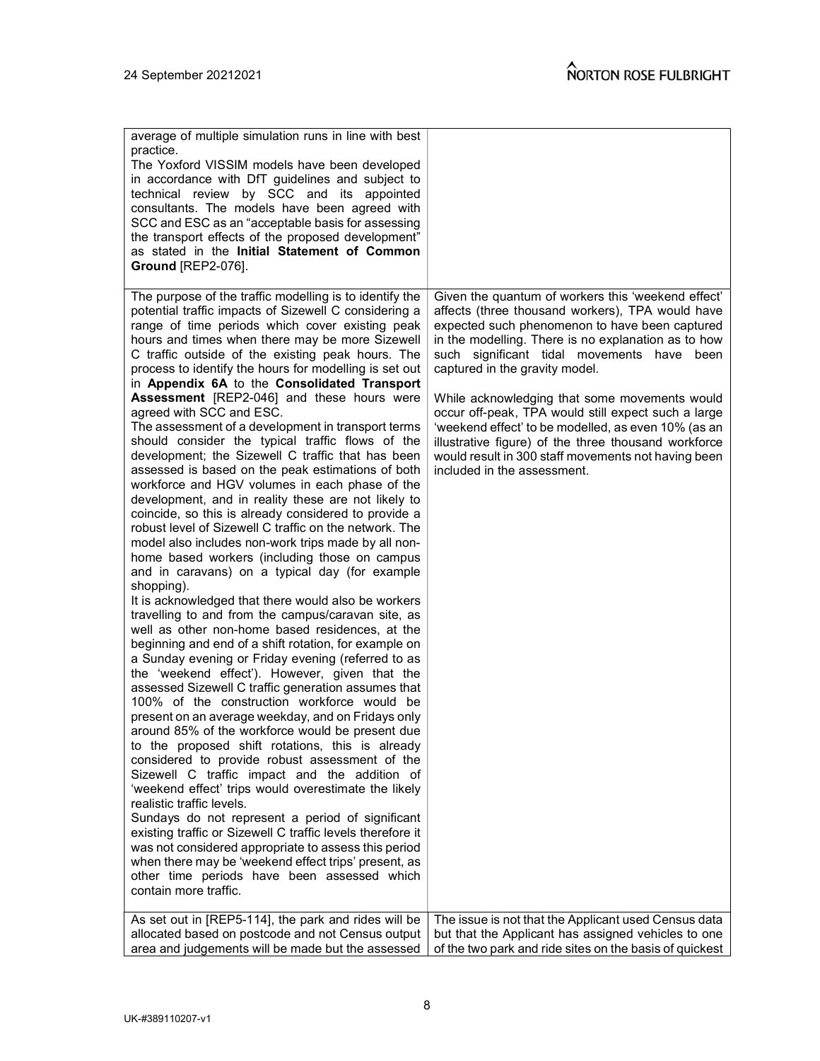| average of multiple simulation runs in line with best<br>practice.<br>The Yoxford VISSIM models have been developed<br>in accordance with DfT guidelines and subject to<br>technical review by SCC and its appointed<br>consultants. The models have been agreed with<br>SCC and ESC as an "acceptable basis for assessing<br>the transport effects of the proposed development"<br>as stated in the Initial Statement of Common<br><b>Ground [REP2-076].</b>                                                                                                                                                                                                                                                                                                                                                                                                                                                                                                                                                                                                                                                                                                                                                                                                                                                                                                                                                                                                                                                                                                                                                                                                                                                                                                                                                                                                                                                                                                                                                                                                                                                                                                                                 |                                                                                                                                                                                                                                                                                                                                                                                                                                                                                                                                                                                                              |
|-----------------------------------------------------------------------------------------------------------------------------------------------------------------------------------------------------------------------------------------------------------------------------------------------------------------------------------------------------------------------------------------------------------------------------------------------------------------------------------------------------------------------------------------------------------------------------------------------------------------------------------------------------------------------------------------------------------------------------------------------------------------------------------------------------------------------------------------------------------------------------------------------------------------------------------------------------------------------------------------------------------------------------------------------------------------------------------------------------------------------------------------------------------------------------------------------------------------------------------------------------------------------------------------------------------------------------------------------------------------------------------------------------------------------------------------------------------------------------------------------------------------------------------------------------------------------------------------------------------------------------------------------------------------------------------------------------------------------------------------------------------------------------------------------------------------------------------------------------------------------------------------------------------------------------------------------------------------------------------------------------------------------------------------------------------------------------------------------------------------------------------------------------------------------------------------------|--------------------------------------------------------------------------------------------------------------------------------------------------------------------------------------------------------------------------------------------------------------------------------------------------------------------------------------------------------------------------------------------------------------------------------------------------------------------------------------------------------------------------------------------------------------------------------------------------------------|
| The purpose of the traffic modelling is to identify the<br>potential traffic impacts of Sizewell C considering a<br>range of time periods which cover existing peak<br>hours and times when there may be more Sizewell<br>C traffic outside of the existing peak hours. The<br>process to identify the hours for modelling is set out<br>in Appendix 6A to the Consolidated Transport<br>Assessment [REP2-046] and these hours were<br>agreed with SCC and ESC.<br>The assessment of a development in transport terms<br>should consider the typical traffic flows of the<br>development; the Sizewell C traffic that has been<br>assessed is based on the peak estimations of both<br>workforce and HGV volumes in each phase of the<br>development, and in reality these are not likely to<br>coincide, so this is already considered to provide a<br>robust level of Sizewell C traffic on the network. The<br>model also includes non-work trips made by all non-<br>home based workers (including those on campus<br>and in caravans) on a typical day (for example<br>shopping).<br>It is acknowledged that there would also be workers<br>travelling to and from the campus/caravan site, as<br>well as other non-home based residences, at the<br>beginning and end of a shift rotation, for example on<br>a Sunday evening or Friday evening (referred to as<br>the 'weekend effect'). However, given that the<br>assessed Sizewell C traffic generation assumes that<br>100% of the construction workforce would be<br>present on an average weekday, and on Fridays only<br>around 85% of the workforce would be present due<br>to the proposed shift rotations, this is already<br>considered to provide robust assessment of the<br>Sizewell C traffic impact and the addition of<br>'weekend effect' trips would overestimate the likely<br>realistic traffic levels.<br>Sundays do not represent a period of significant<br>existing traffic or Sizewell C traffic levels therefore it<br>was not considered appropriate to assess this period<br>when there may be 'weekend effect trips' present, as<br>other time periods have been assessed which<br>contain more traffic. | Given the quantum of workers this 'weekend effect'<br>affects (three thousand workers), TPA would have<br>expected such phenomenon to have been captured<br>in the modelling. There is no explanation as to how<br>such significant tidal movements have been<br>captured in the gravity model.<br>While acknowledging that some movements would<br>occur off-peak, TPA would still expect such a large<br>'weekend effect' to be modelled, as even 10% (as an<br>illustrative figure) of the three thousand workforce<br>would result in 300 staff movements not having been<br>included in the assessment. |
|                                                                                                                                                                                                                                                                                                                                                                                                                                                                                                                                                                                                                                                                                                                                                                                                                                                                                                                                                                                                                                                                                                                                                                                                                                                                                                                                                                                                                                                                                                                                                                                                                                                                                                                                                                                                                                                                                                                                                                                                                                                                                                                                                                                               |                                                                                                                                                                                                                                                                                                                                                                                                                                                                                                                                                                                                              |
| As set out in [REP5-114], the park and rides will be                                                                                                                                                                                                                                                                                                                                                                                                                                                                                                                                                                                                                                                                                                                                                                                                                                                                                                                                                                                                                                                                                                                                                                                                                                                                                                                                                                                                                                                                                                                                                                                                                                                                                                                                                                                                                                                                                                                                                                                                                                                                                                                                          | The issue is not that the Applicant used Census data                                                                                                                                                                                                                                                                                                                                                                                                                                                                                                                                                         |
| allocated based on postcode and not Census output<br>area and judgements will be made but the assessed                                                                                                                                                                                                                                                                                                                                                                                                                                                                                                                                                                                                                                                                                                                                                                                                                                                                                                                                                                                                                                                                                                                                                                                                                                                                                                                                                                                                                                                                                                                                                                                                                                                                                                                                                                                                                                                                                                                                                                                                                                                                                        | but that the Applicant has assigned vehicles to one<br>of the two park and ride sites on the basis of quickest                                                                                                                                                                                                                                                                                                                                                                                                                                                                                               |
|                                                                                                                                                                                                                                                                                                                                                                                                                                                                                                                                                                                                                                                                                                                                                                                                                                                                                                                                                                                                                                                                                                                                                                                                                                                                                                                                                                                                                                                                                                                                                                                                                                                                                                                                                                                                                                                                                                                                                                                                                                                                                                                                                                                               |                                                                                                                                                                                                                                                                                                                                                                                                                                                                                                                                                                                                              |